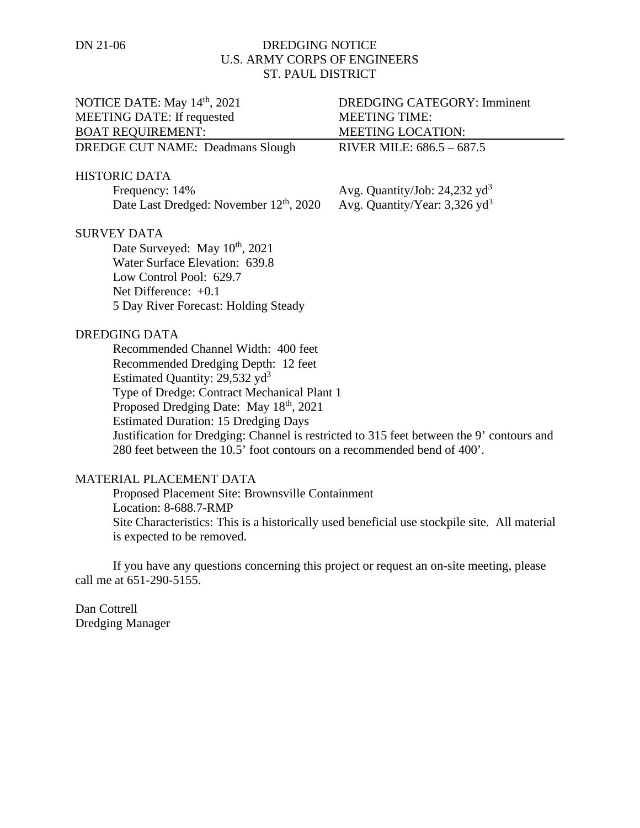## DN 21-06 DREDGING NOTICE U.S. ARMY CORPS OF ENGINEERS ST. PAUL DISTRICT

| NOTICE DATE: May 14 <sup>th</sup> , 2021                                                  | <b>DREDGING CATEGORY: Imminent</b>          |
|-------------------------------------------------------------------------------------------|---------------------------------------------|
| <b>MEETING DATE: If requested</b>                                                         | <b>MEETING TIME:</b>                        |
| <b>BOAT REQUIREMENT:</b>                                                                  | MEETING LOCATION:                           |
| <b>DREDGE CUT NAME: Deadmans Slough</b>                                                   | RIVER MILE: 686.5 - 687.5                   |
| <b>HISTORIC DATA</b>                                                                      |                                             |
| Frequency: 14%                                                                            | Avg. Quantity/Job: $24,232$ yd <sup>3</sup> |
| Date Last Dredged: November 12 <sup>th</sup> , 2020                                       | Avg. Quantity/Year: $3,326$ yd <sup>3</sup> |
| <b>SURVEY DATA</b>                                                                        |                                             |
| Date Surveyed: May 10 <sup>th</sup> , 2021                                                |                                             |
| Water Surface Elevation: 639.8                                                            |                                             |
| Low Control Pool: 629.7                                                                   |                                             |
| Net Difference: $+0.1$                                                                    |                                             |
| 5 Day River Forecast: Holding Steady                                                      |                                             |
| <b>DREDGING DATA</b>                                                                      |                                             |
| Recommended Channel Width: 400 feet                                                       |                                             |
| Recommended Dredging Depth: 12 feet                                                       |                                             |
| Estimated Quantity: $29,532 \text{ yd}^3$                                                 |                                             |
| Type of Dredge: Contract Mechanical Plant 1                                               |                                             |
| Proposed Dredging Date: May 18 <sup>th</sup> , 2021                                       |                                             |
| <b>Estimated Duration: 15 Dredging Days</b>                                               |                                             |
| Justification for Dredging: Channel is restricted to 315 feet between the 9' contours and |                                             |
| 280 feet between the 10.5' foot contours on a recommended bend of 400'.                   |                                             |
| MATERIAL PLACEMENT DATA                                                                   |                                             |

## MATERIAL PLACEMENT DATA

Proposed Placement Site: Brownsville Containment Location: 8-688.7-RMP Site Characteristics: This is a historically used beneficial use stockpile site. All material is expected to be removed.

If you have any questions concerning this project or request an on-site meeting, please call me at 651-290-5155.

Dan Cottrell Dredging Manager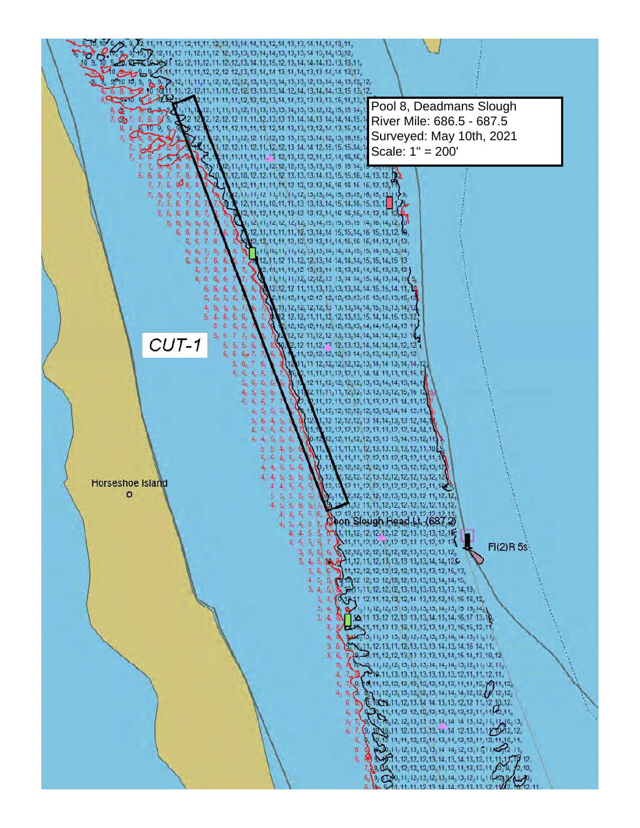